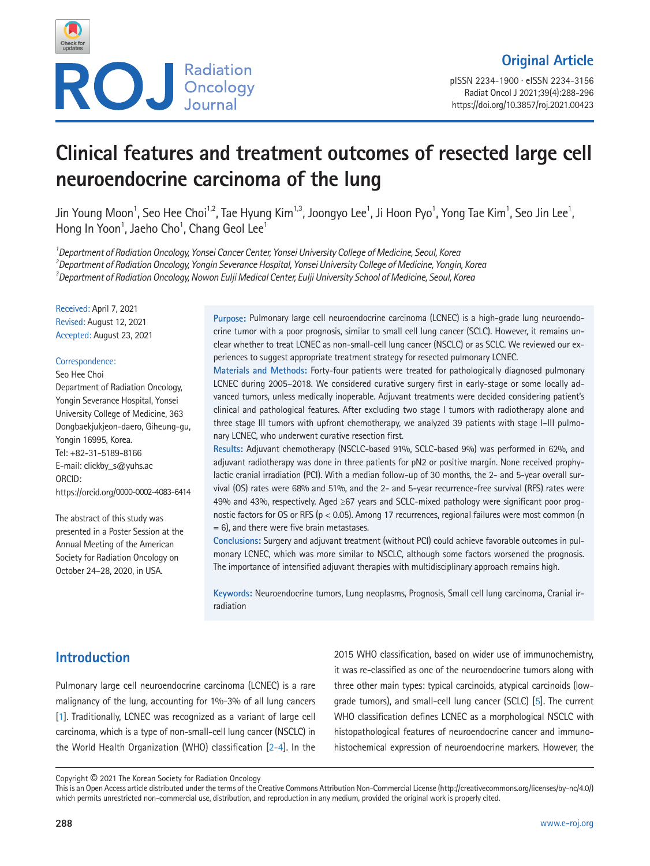

pISSN 2234-1900 · eISSN 2234-3156 Radiat Oncol J 2021;39(4):288-296 https://doi.org/10.3857/roj.2021.00423

# **Clinical features and treatment outcomes of resected large cell neuroendocrine carcinoma of the lung**

Jin Young Moon<sup>1</sup>, Seo Hee Choi<sup>1,2</sup>, Tae Hyung Kim<sup>1,3</sup>, Joongyo Lee<sup>1</sup>, Ji Hoon Pyo<sup>1</sup>, Yong Tae Kim<sup>1</sup>, Seo Jin Lee<sup>1</sup>, Hong In Yoon<sup>1</sup>, Jaeho Cho<sup>1</sup>, Chang Geol Lee<sup>1</sup>

*1 Department of Radiation Oncology, Yonsei Cancer Center, Yonsei University College of Medicine, Seoul, Korea 2 Department of Radiation Oncology, Yongin Severance Hospital, Yonsei University College of Medicine, Yongin, Korea 3 Department of Radiation Oncology, Nowon Eulji Medical Center, Eulji University School of Medicine, Seoul, Korea*

Received: April 7, 2021 Revised: August 12, 2021 Accepted: August 23, 2021

#### Correspondence:

Seo Hee Choi

Department of Radiation Oncology, Yongin Severance Hospital, Yonsei University College of Medicine, 363 Dongbaekjukjeon-daero, Giheung-gu, Yongin 16995, Korea. Tel: +82-31-5189-8166 E-mail: clickby\_s@yuhs.ac ORCID: https://orcid.org/0000-0002-4083-6414

The abstract of this study was presented in a Poster Session at the Annual Meeting of the American Society for Radiation Oncology on October 24–28, 2020, in USA.

Purpose: Pulmonary large cell neuroendocrine carcinoma (LCNEC) is a high-grade lung neuroendocrine tumor with a poor prognosis, similar to small cell lung cancer (SCLC). However, it remains unclear whether to treat LCNEC as non-small-cell lung cancer (NSCLC) or as SCLC. We reviewed our experiences to suggest appropriate treatment strategy for resected pulmonary LCNEC.

**Materials and Methods:** Forty-four patients were treated for pathologically diagnosed pulmonary LCNEC during 2005–2018. We considered curative surgery first in early-stage or some locally advanced tumors, unless medically inoperable. Adjuvant treatments were decided considering patient's clinical and pathological features. After excluding two stage I tumors with radiotherapy alone and three stage III tumors with upfront chemotherapy, we analyzed 39 patients with stage I–III pulmonary LCNEC, who underwent curative resection first.

**Results:** Adjuvant chemotherapy (NSCLC-based 91%, SCLC-based 9%) was performed in 62%, and adjuvant radiotherapy was done in three patients for pN2 or positive margin. None received prophylactic cranial irradiation (PCI). With a median follow-up of 30 months, the 2- and 5-year overall survival (OS) rates were 68% and 51%, and the 2- and 5-year recurrence-free survival (RFS) rates were 49% and 43%, respectively. Aged ≥67 years and SCLC-mixed pathology were significant poor prognostic factors for OS or RFS (p < 0.05). Among 17 recurrences, regional failures were most common (n = 6), and there were five brain metastases.

**Conclusions:** Surgery and adjuvant treatment (without PCI) could achieve favorable outcomes in pulmonary LCNEC, which was more similar to NSCLC, although some factors worsened the prognosis. The importance of intensified adjuvant therapies with multidisciplinary approach remains high.

**Keywords:** Neuroendocrine tumors, Lung neoplasms, Prognosis, Small cell lung carcinoma, Cranial irradiation

# **Introduction**

Pulmonary large cell neuroendocrine carcinoma (LCNEC) is a rare malignancy of the lung, accounting for 1%-3% of all lung cancers [\[1](#page-7-0)]. Traditionally, LCNEC was recognized as a variant of large cell carcinoma, which is a type of non-small-cell lung cancer (NSCLC) in the World Health Organization (WHO) classification [\[2](#page-7-1)[-4\]](#page-7-2). In the

2015 WHO classification, based on wider use of immunochemistry, it was re-classified as one of the neuroendocrine tumors along with three other main types: typical carcinoids, atypical carcinoids (lowgrade tumors), and small-cell lung cancer (SCLC) [\[5](#page-7-3)]. The current WHO classification defines LCNEC as a morphological NSCLC with histopathological features of neuroendocrine cancer and immunohistochemical expression of neuroendocrine markers. However, the

Copyright © 2021 The Korean Society for Radiation Oncology

This is an Open Access article distributed under the terms of the Creative Commons Attribution Non-Commercial License (http://creativecommons.org/licenses/by-nc/4.0/) which permits unrestricted non-commercial use, distribution, and reproduction in any medium, provided the original work is properly cited.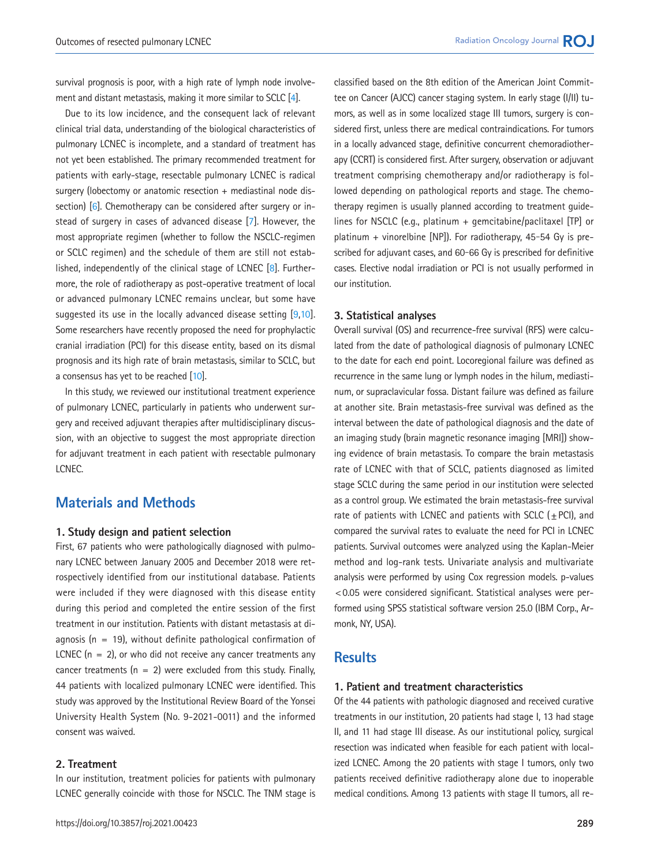survival prognosis is poor, with a high rate of lymph node involvement and distant metastasis, making it more similar to SCLC [\[4\]](#page-7-2).

Due to its low incidence, and the consequent lack of relevant clinical trial data, understanding of the biological characteristics of pulmonary LCNEC is incomplete, and a standard of treatment has not yet been established. The primary recommended treatment for patients with early-stage, resectable pulmonary LCNEC is radical surgery (lobectomy or anatomic resection + mediastinal node dis-section) [\[6](#page-7-4)]. Chemotherapy can be considered after surgery or instead of surgery in cases of advanced disease [\[7\]](#page-7-5). However, the most appropriate regimen (whether to follow the NSCLC-regimen or SCLC regimen) and the schedule of them are still not established, independently of the clinical stage of LCNEC [\[8\]](#page-8-0). Furthermore, the role of radiotherapy as post-operative treatment of local or advanced pulmonary LCNEC remains unclear, but some have suggested its use in the locally advanced disease setting [\[9](#page-7-3)[,10](#page-7-4)]. Some researchers have recently proposed the need for prophylactic cranial irradiation (PCI) for this disease entity, based on its dismal prognosis and its high rate of brain metastasis, similar to SCLC, but a consensus has yet to be reached [\[10](#page-7-4)].

In this study, we reviewed our institutional treatment experience of pulmonary LCNEC, particularly in patients who underwent surgery and received adjuvant therapies after multidisciplinary discussion, with an objective to suggest the most appropriate direction for adjuvant treatment in each patient with resectable pulmonary LCNEC.

## **Materials and Methods**

#### **1. Study design and patient selection**

First, 67 patients who were pathologically diagnosed with pulmonary LCNEC between January 2005 and December 2018 were retrospectively identified from our institutional database. Patients were included if they were diagnosed with this disease entity during this period and completed the entire session of the first treatment in our institution. Patients with distant metastasis at diagnosis ( $n = 19$ ), without definite pathological confirmation of LCNEC  $(n = 2)$ , or who did not receive any cancer treatments any cancer treatments ( $n = 2$ ) were excluded from this study. Finally, 44 patients with localized pulmonary LCNEC were identified. This study was approved by the Institutional Review Board of the Yonsei University Health System (No. 9-2021-0011) and the informed consent was waived.

#### **2. Treatment**

In our institution, treatment policies for patients with pulmonary LCNEC generally coincide with those for NSCLC. The TNM stage is classified based on the 8th edition of the American Joint Committee on Cancer (AJCC) cancer staging system. In early stage (I/II) tumors, as well as in some localized stage III tumors, surgery is considered first, unless there are medical contraindications. For tumors in a locally advanced stage, definitive concurrent chemoradiotherapy (CCRT) is considered first. After surgery, observation or adjuvant treatment comprising chemotherapy and/or radiotherapy is followed depending on pathological reports and stage. The chemotherapy regimen is usually planned according to treatment guidelines for NSCLC (e.g., platinum + gemcitabine/paclitaxel [TP] or platinum + vinorelbine [NP]). For radiotherapy,  $45-54$  Gy is prescribed for adjuvant cases, and 60-66 Gy is prescribed for definitive cases. Elective nodal irradiation or PCI is not usually performed in our institution.

#### **3. Statistical analyses**

Overall survival (OS) and recurrence-free survival (RFS) were calculated from the date of pathological diagnosis of pulmonary LCNEC to the date for each end point. Locoregional failure was defined as recurrence in the same lung or lymph nodes in the hilum, mediastinum, or supraclavicular fossa. Distant failure was defined as failure at another site. Brain metastasis-free survival was defined as the interval between the date of pathological diagnosis and the date of an imaging study (brain magnetic resonance imaging [MRI]) showing evidence of brain metastasis. To compare the brain metastasis rate of LCNEC with that of SCLC, patients diagnosed as limited stage SCLC during the same period in our institution were selected as a control group. We estimated the brain metastasis-free survival rate of patients with LCNEC and patients with SCLC ( $\pm$ PCI), and compared the survival rates to evaluate the need for PCI in LCNEC patients. Survival outcomes were analyzed using the Kaplan-Meier method and log-rank tests. Univariate analysis and multivariate analysis were performed by using Cox regression models. p-values <0.05 were considered significant. Statistical analyses were performed using SPSS statistical software version 25.0 (IBM Corp., Armonk, NY, USA).

### **Results**

#### **1. Patient and treatment characteristics**

Of the 44 patients with pathologic diagnosed and received curative treatments in our institution, 20 patients had stage I, 13 had stage II, and 11 had stage III disease. As our institutional policy, surgical resection was indicated when feasible for each patient with localized LCNEC. Among the 20 patients with stage I tumors, only two patients received definitive radiotherapy alone due to inoperable medical conditions. Among 13 patients with stage II tumors, all re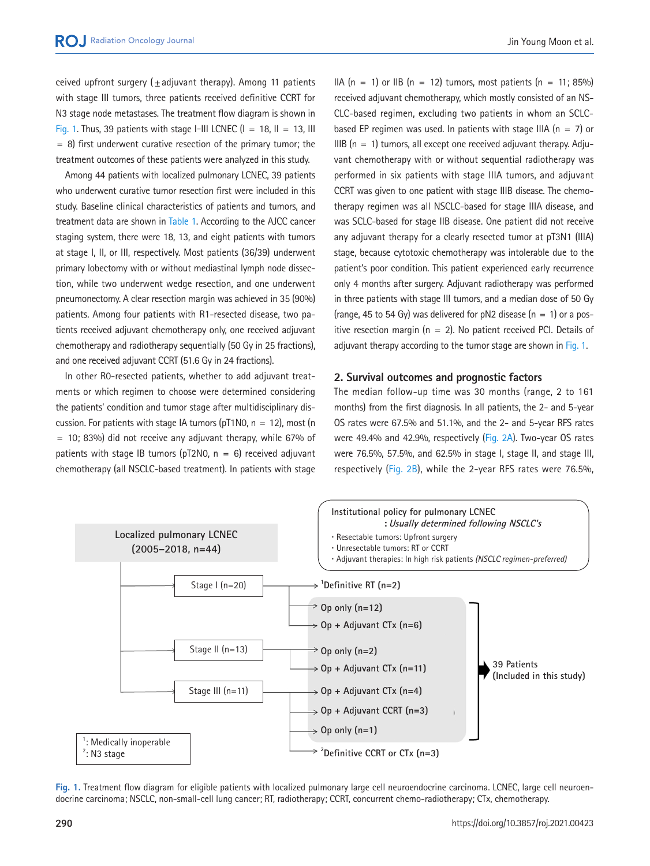ceived upfront surgery (+adjuvant therapy). Among 11 patients with stage III tumors, three patients received definitive CCRT for N3 stage node metastases. The treatment flow diagram is shown in [Fig. 1](#page-2-0). Thus, 39 patients with stage I-III LCNEC  $(I = 18, II = 13, III)$  $= 8$ ) first underwent curative resection of the primary tumor; the treatment outcomes of these patients were analyzed in this study.

Among 44 patients with localized pulmonary LCNEC, 39 patients who underwent curative tumor resection first were included in this study. Baseline clinical characteristics of patients and tumors, and treatment data are shown in [Table 1.](#page-3-0) According to the AJCC cancer staging system, there were 18, 13, and eight patients with tumors at stage I, II, or III, respectively. Most patients (36/39) underwent primary lobectomy with or without mediastinal lymph node dissection, while two underwent wedge resection, and one underwent pneumonectomy. A clear resection margin was achieved in 35 (90%) patients. Among four patients with R1-resected disease, two patients received adjuvant chemotherapy only, one received adjuvant chemotherapy and radiotherapy sequentially (50 Gy in 25 fractions), and one received adjuvant CCRT (51.6 Gy in 24 fractions).

In other R0-resected patients, whether to add adjuvant treatments or which regimen to choose were determined considering the patients' condition and tumor stage after multidisciplinary discussion. For patients with stage IA tumors (pT1N0,  $n = 12$ ), most (n  $=$  10; 83%) did not receive any adjuvant therapy, while 67% of patients with stage IB tumors (pT2N0,  $n = 6$ ) received adjuvant chemotherapy (all NSCLC-based treatment). In patients with stage IIA  $(n = 1)$  or IIB  $(n = 12)$  tumors, most patients  $(n = 11; 85%)$ received adjuvant chemotherapy, which mostly consisted of an NS-CLC-based regimen, excluding two patients in whom an SCLCbased EP regimen was used. In patients with stage IIIA ( $n = 7$ ) or IIIB  $(n = 1)$  tumors, all except one received adjuvant therapy. Adjuvant chemotherapy with or without sequential radiotherapy was performed in six patients with stage IIIA tumors, and adjuvant CCRT was given to one patient with stage IIIB disease. The chemotherapy regimen was all NSCLC-based for stage IIIA disease, and was SCLC-based for stage IIB disease. One patient did not receive any adjuvant therapy for a clearly resected tumor at pT3N1 (IIIA) stage, because cytotoxic chemotherapy was intolerable due to the patient's poor condition. This patient experienced early recurrence only 4 months after surgery. Adjuvant radiotherapy was performed in three patients with stage III tumors, and a median dose of 50 Gy (range, 45 to 54 Gy) was delivered for pN2 disease  $(n = 1)$  or a positive resection margin ( $n = 2$ ). No patient received PCI. Details of adjuvant therapy according to the tumor stage are shown in [Fig. 1](#page-2-0).

#### **2. Survival outcomes and prognostic factors**

The median follow-up time was 30 months (range, 2 to 161 months) from the first diagnosis. In all patients, the 2- and 5-year OS rates were 67.5% and 51.1%, and the 2- and 5-year RFS rates were 49.4% and 42.9%, respectively [\(Fig. 2A\)](#page-4-0). Two-year OS rates were 76.5%, 57.5%, and 62.5% in stage I, stage II, and stage III, respectively [\(Fig. 2B\)](#page-4-0), while the 2-year RFS rates were 76.5%,

<span id="page-2-0"></span>

**Fig. 1.** Treatment flow diagram for eligible patients with localized pulmonary large cell neuroendocrine carcinoma. LCNEC, large cell neuroendocrine carcinoma; NSCLC, non-small-cell lung cancer; RT, radiotherapy; CCRT, concurrent chemo-radiotherapy; CTx, chemotherapy.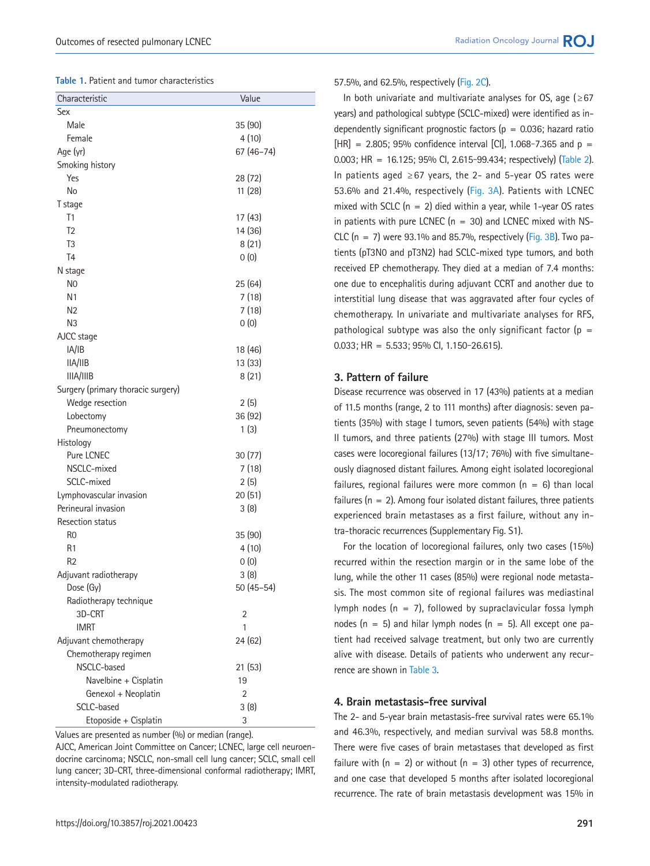#### <span id="page-3-0"></span>**Table 1.** Patient and tumor characteristics

| Characteristic                     | Value      |
|------------------------------------|------------|
| Sex                                |            |
| Male                               | 35 (90)    |
| Female                             | 4(10)      |
| Age (yr)                           | 67 (46-74) |
| Smoking history                    |            |
| Yes                                | 28 (72)    |
| No                                 | 11 (28)    |
| T stage                            |            |
| T1                                 | 17 (43)    |
| T <sub>2</sub>                     | 14 (36)    |
| T <sub>3</sub>                     | 8(21)      |
| T <sub>4</sub>                     | 0(0)       |
| N stage                            |            |
| N <sub>0</sub>                     | 25 (64)    |
| N <sub>1</sub>                     | 7(18)      |
| N <sub>2</sub>                     | 7(18)      |
| N <sub>3</sub>                     | 0(0)       |
| AJCC stage                         |            |
| IA/IB                              | 18 (46)    |
| IIA/IIB                            | 13 (33)    |
| IIIA/IIIB                          | 8(21)      |
| Surgery (primary thoracic surgery) |            |
| Wedge resection                    | 2(5)       |
| Lobectomy                          | 36 (92)    |
| Pneumonectomy                      | 1(3)       |
| Histology                          |            |
| Pure LCNEC                         | 30(77)     |
| NSCLC-mixed                        | 7(18)      |
| SCLC-mixed                         | 2(5)       |
| Lymphovascular invasion            | 20(51)     |
| Perineural invasion                | 3(8)       |
| <b>Resection status</b>            |            |
| R <sub>0</sub>                     | 35 (90)    |
| R1                                 | 4(10)      |
| R <sub>2</sub>                     | 0(0)       |
| Adjuvant radiotherapy              | 3(8)       |
| Dose (Gy)                          | 50 (45-54) |
| Radiotherapy technique             |            |
| 3D-CRT                             | 2          |
| <b>IMRT</b>                        | 1          |
| Adjuvant chemotherapy              | 24 (62)    |
| Chemotherapy regimen               |            |
| NSCLC-based                        | 21(53)     |
| Navelbine + Cisplatin              | 19         |
| Genexol + Neoplatin                | 2          |
| SCLC-based                         | 3(8)       |
| Etoposide + Cisplatin              | 3          |

Values are presented as number (%) or median (range).

AJCC, American Joint Committee on Cancer; LCNEC, large cell neuroendocrine carcinoma; NSCLC, non-small cell lung cancer; SCLC, small cell lung cancer; 3D-CRT, three-dimensional conformal radiotherapy; IMRT, intensity-modulated radiotherapy.

#### 57.5%, and 62.5%, respectively [\(Fig. 2C](#page-4-0)).

In both univariate and multivariate analyses for OS, age ( $\geq 67$ ) years) and pathological subtype (SCLC-mixed) were identified as independently significant prognostic factors ( $p = 0.036$ ; hazard ratio  $[HR] = 2.805$ ; 95% confidence interval [CI], 1.068-7.365 and p = 0.003; HR = 16.125; 95% CI, 2.615-99.434; respectively) [\(Table 2\)](#page-4-1). In patients aged ≥67 years, the 2- and 5-year OS rates were 53.6% and 21.4%, respectively [\(Fig. 3A](#page-4-2)). Patients with LCNEC mixed with SCLC ( $n = 2$ ) died within a year, while 1-year OS rates in patients with pure LCNEC ( $n = 30$ ) and LCNEC mixed with NS-CLC  $(n = 7)$  were 93.1% and 85.7%, respectively [\(Fig. 3B\)](#page-4-2). Two patients (pT3N0 and pT3N2) had SCLC-mixed type tumors, and both received EP chemotherapy. They died at a median of 7.4 months: one due to encephalitis during adjuvant CCRT and another due to interstitial lung disease that was aggravated after four cycles of chemotherapy. In univariate and multivariate analyses for RFS, pathological subtype was also the only significant factor ( $p =$  $0.033$ ; HR = 5.533; 95% Cl, 1.150-26.615).

#### **3. Pattern of failure**

Disease recurrence was observed in 17 (43%) patients at a median of 11.5 months (range, 2 to 111 months) after diagnosis: seven patients (35%) with stage I tumors, seven patients (54%) with stage II tumors, and three patients (27%) with stage III tumors. Most cases were locoregional failures (13/17; 76%) with five simultaneously diagnosed distant failures. Among eight isolated locoregional failures, regional failures were more common  $(n = 6)$  than local failures ( $n = 2$ ). Among four isolated distant failures, three patients experienced brain metastases as a first failure, without any intra-thoracic recurrences (Supplementary Fig. S1).

For the location of locoregional failures, only two cases (15%) recurred within the resection margin or in the same lobe of the lung, while the other 11 cases (85%) were regional node metastasis. The most common site of regional failures was mediastinal lymph nodes  $(n = 7)$ , followed by supraclavicular fossa lymph nodes ( $n = 5$ ) and hilar lymph nodes ( $n = 5$ ). All except one patient had received salvage treatment, but only two are currently alive with disease. Details of patients who underwent any recurrence are shown in [Table 3](#page-5-0).

#### **4. Brain metastasis-free survival**

The 2- and 5-year brain metastasis-free survival rates were 65.1% and 46.3%, respectively, and median survival was 58.8 months. There were five cases of brain metastases that developed as first failure with  $(n = 2)$  or without  $(n = 3)$  other types of recurrence, and one case that developed 5 months after isolated locoregional recurrence. The rate of brain metastasis development was 15% in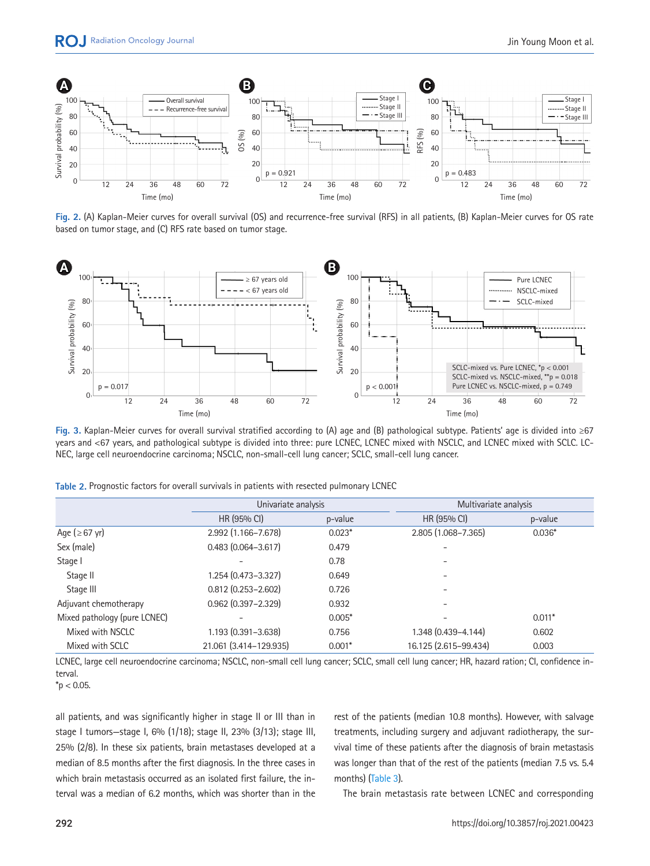<span id="page-4-0"></span>

**Fig. 2.** (A) Kaplan-Meier curves for overall survival (OS) and recurrence-free survival (RFS) in all patients, (B) Kaplan-Meier curves for OS rate based on tumor stage, and (C) RFS rate based on tumor stage.

<span id="page-4-2"></span>

**Fig. 3.** Kaplan-Meier curves for overall survival stratified according to (A) age and (B) pathological subtype. Patients' age is divided into ≥67 years and <67 years, and pathological subtype is divided into three: pure LCNEC, LCNEC mixed with NSCLC, and LCNEC mixed with SCLC. LC-NEC, large cell neuroendocrine carcinoma; NSCLC, non-small-cell lung cancer; SCLC, small-cell lung cancer.

|                              | Univariate analysis    |          | Multivariate analysis |          |
|------------------------------|------------------------|----------|-----------------------|----------|
|                              | HR (95% CI)            | p-value  | HR (95% CI)           | p-value  |
| Age ( $\geq 67$ yr)          | 2.992 (1.166-7.678)    | $0.023*$ | 2.805 (1.068-7.365)   | $0.036*$ |
| Sex (male)                   | $0.483(0.064 - 3.617)$ | 0.479    |                       |          |
| Stage I                      |                        | 0.78     |                       |          |
| Stage II                     | 1.254 (0.473-3.327)    | 0.649    |                       |          |
| Stage III                    | $0.812$ (0.253-2.602)  | 0.726    |                       |          |
| Adjuvant chemotherapy        | $0.962$ (0.397-2.329)  | 0.932    |                       |          |
| Mixed pathology (pure LCNEC) |                        | $0.005*$ |                       | $0.011*$ |
| Mixed with NSCLC             | 1.193 (0.391-3.638)    | 0.756    | 1.348 (0.439-4.144)   | 0.602    |
| Mixed with SCLC              | 21.061 (3.414-129.935) | $0.001*$ | 16.125 (2.615-99.434) | 0.003    |

<span id="page-4-1"></span>**Table 2.** Prognostic factors for overall survivals in patients with resected pulmonary LCNEC

LCNEC, large cell neuroendocrine carcinoma; NSCLC, non-small cell lung cancer; SCLC, small cell lung cancer; HR, hazard ration; CI, confidence interval.

 $*$ p < 0.05.

all patients, and was significantly higher in stage II or III than in stage I tumors—stage I, 6% (1/18); stage II, 23% (3/13); stage III, 25% (2/8). In these six patients, brain metastases developed at a median of 8.5 months after the first diagnosis. In the three cases in which brain metastasis occurred as an isolated first failure, the interval was a median of 6.2 months, which was shorter than in the rest of the patients (median 10.8 months). However, with salvage treatments, including surgery and adjuvant radiotherapy, the survival time of these patients after the diagnosis of brain metastasis was longer than that of the rest of the patients (median 7.5 vs. 5.4 months) (Table 3).

The brain metastasis rate between LCNEC and corresponding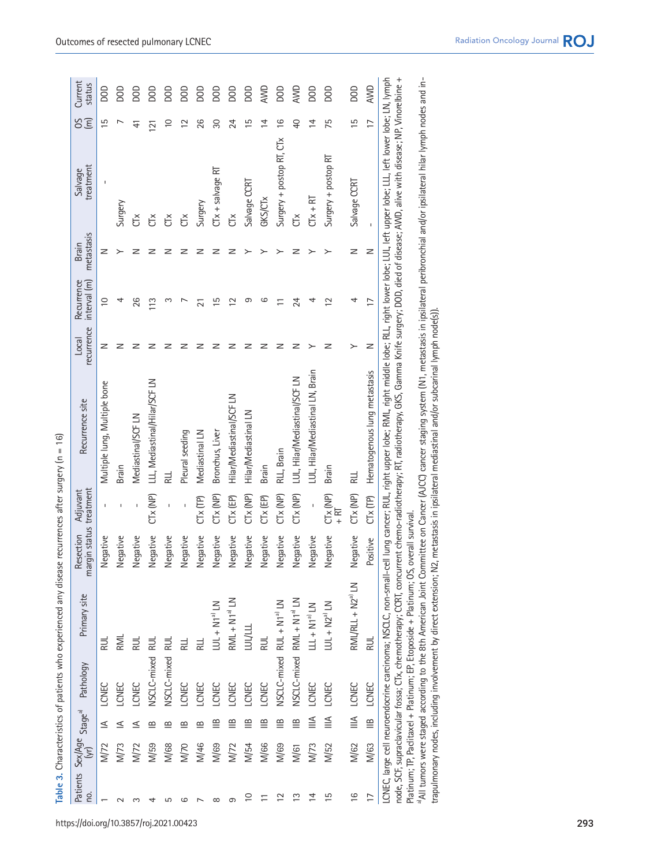<span id="page-5-0"></span>

| ¢<br>)                                                                                |
|---------------------------------------------------------------------------------------|
|                                                                                       |
| $\mathsf{I}$                                                                          |
| Ś                                                                                     |
|                                                                                       |
|                                                                                       |
| ¢                                                                                     |
| ֖֖֖֖֖֖֖֧ׅ֪ׅ֖֧֪֪ׅ֖֧֚֚֚֚֚֚֚֚֚֚֚֚֚֚֚֚֚֚֚֚֚֚֚֚֬֝֝֓֞֝֬                                     |
|                                                                                       |
| ことのキャッ                                                                                |
| ֖֖֖֚֚֚֚֚֬                                                                             |
|                                                                                       |
|                                                                                       |
| ֖֖֖֖֖֧ׅ֖֧֖֧֚֚֚֚֚֚֚֚֚֚֚֚֚֚֚֚֚֚֚֚֚֚֚֚֚֚֚֚֚֚֬֝֝֓֞֝֬                                      |
| i<br>֦֦֖֖֖֖֖֖֖֖֖֖ׅ֖֖֖֖֖֖֚֚֚֚֚֚֚֚֚֚֚֚֚֚֚֚֚֚֚֚֚֡֝֝֝֝֝                                   |
|                                                                                       |
|                                                                                       |
|                                                                                       |
|                                                                                       |
| <b>Q</b> מסמווי אי                                                                    |
| <b>CONDITION</b>                                                                      |
|                                                                                       |
|                                                                                       |
|                                                                                       |
|                                                                                       |
|                                                                                       |
|                                                                                       |
| j                                                                                     |
|                                                                                       |
|                                                                                       |
|                                                                                       |
|                                                                                       |
|                                                                                       |
|                                                                                       |
|                                                                                       |
|                                                                                       |
|                                                                                       |
|                                                                                       |
|                                                                                       |
|                                                                                       |
|                                                                                       |
|                                                                                       |
|                                                                                       |
|                                                                                       |
|                                                                                       |
|                                                                                       |
|                                                                                       |
| ֧֖֖֖֖֖֖֖֖֧֧֪֧֪֧֪֧֪֧֪֧֧֚֚֚֚֚֚֚֚֚֚֚֚֚֚֚֚֚֚֚֚֚֚֚֚֚֚֚֝֝֓֞֓֝֓֬֓֝֬֓֬֝֓֬֝֓֬֝֓֬֝֬֝֬֝֬֝֬֝֬֝֬֝֬ |
|                                                                                       |
|                                                                                       |
| Ó                                                                                     |
| ;<br>;                                                                                |
|                                                                                       |
| Jole 3                                                                                |
|                                                                                       |
| ī                                                                                     |
|                                                                                       |

 $\widehat{\omega}$ 

| no.            |             |                   | Patients Sex/Age Stage <sup>a)</sup> Pathology | Primary site                                                         | Resection<br>lew    | rgin status treatment<br>Adjuvant | Recurrence site                                                                                                                                                                                                                                                                                                                                                                                                                                                                                                                                                                                                                                                                                                                                                              | recurrence<br>Local | interval (m)<br>Recurrence | metastasis<br>Brain | treatment<br>Salvage     | SS             | Current<br>status |
|----------------|-------------|-------------------|------------------------------------------------|----------------------------------------------------------------------|---------------------|-----------------------------------|------------------------------------------------------------------------------------------------------------------------------------------------------------------------------------------------------------------------------------------------------------------------------------------------------------------------------------------------------------------------------------------------------------------------------------------------------------------------------------------------------------------------------------------------------------------------------------------------------------------------------------------------------------------------------------------------------------------------------------------------------------------------------|---------------------|----------------------------|---------------------|--------------------------|----------------|-------------------|
|                |             | ≤                 | LCNEC                                          | RUL                                                                  | Negative            | I.                                | Multiple lung, Multiple bone                                                                                                                                                                                                                                                                                                                                                                                                                                                                                                                                                                                                                                                                                                                                                 | z                   | $\supseteq$                | z                   |                          | ما             | goo               |
|                |             | ⋖                 | LCNEC                                          | RMI                                                                  | Vegative            | I.                                | Brain                                                                                                                                                                                                                                                                                                                                                                                                                                                                                                                                                                                                                                                                                                                                                                        | z                   | 4                          |                     | Surgery                  |                | SOO               |
|                |             |                   | LCNEC                                          | RUL                                                                  | <b>degative</b>     | Ţ                                 | Mediastinal/SCFLN                                                                                                                                                                                                                                                                                                                                                                                                                                                                                                                                                                                                                                                                                                                                                            | z                   | 26                         |                     | č                        | 士              | goo               |
|                | <b>M/59</b> | ≃                 | NSCLC-mixed                                    | RUL                                                                  | Vegative            | CTx (NP)                          | LLL, Mediastinal/Hilar/SCF LN                                                                                                                                                                                                                                                                                                                                                                                                                                                                                                                                                                                                                                                                                                                                                | z                   | 113                        | z                   | č                        | $\overline{2}$ | SOO               |
|                | M/68        | B                 | NSCLC-mixed                                    | RUL                                                                  | Vegative            |                                   | 긅                                                                                                                                                                                                                                                                                                                                                                                                                                                                                                                                                                                                                                                                                                                                                                            | z                   | ო                          |                     | č                        | ₽              | goo               |
| ഗ              | <b>M/70</b> | ≃                 | LCNEC                                          | RLI                                                                  | legative            |                                   | Pleural seeding                                                                                                                                                                                                                                                                                                                                                                                                                                                                                                                                                                                                                                                                                                                                                              | z                   |                            | z                   | Č                        | $\mathbf{\Xi}$ | <b>DOD</b>        |
|                | M/46        | $\mathbf{\Omega}$ | LCNEC                                          | 늹                                                                    | <b>degative</b>     | $Cix$ (TP)                        | Mediastinal LN                                                                                                                                                                                                                                                                                                                                                                                                                                                                                                                                                                                                                                                                                                                                                               | z                   | ಸ                          | z                   | Surgery                  | 26             | goo               |
| $\infty$       | <b>M/69</b> | ≌                 | LCNEC                                          | $LU + NI^a$ IN                                                       | legative            | Ctx(NP)                           | Bronchus, Liver                                                                                                                                                                                                                                                                                                                                                                                                                                                                                                                                                                                                                                                                                                                                                              | z                   | $\overline{5}$             | z                   |                          | 8              | goo               |
| თ              | M/72        | $\mathbf{m}$      | LCNEC                                          | $RML + N1a$ LN                                                       | Vegative            | CTx (EP)                          | Hilar/Mediastinal/SCFLN                                                                                                                                                                                                                                                                                                                                                                                                                                                                                                                                                                                                                                                                                                                                                      | z                   | $\simeq$                   | z                   | Ğ                        | 24             | goo               |
| $\overline{C}$ | M/54        | $\cong$           | <b>CNEC</b>                                    | <b>TANTIT</b>                                                        | Vegative            | CTx (NP)                          | Hilar/Mediastinal LN                                                                                                                                                                                                                                                                                                                                                                                                                                                                                                                                                                                                                                                                                                                                                         | ᡔ                   | တ                          |                     | Salvage CCRT             | 51             | goo               |
| Ξ              | <b>M/66</b> | $\cong$           | LCNEC                                          |                                                                      | <b>degative</b>     | CTx (EP)                          | Brain                                                                                                                                                                                                                                                                                                                                                                                                                                                                                                                                                                                                                                                                                                                                                                        | z                   | ဖ                          |                     | <b>GKS/CTx</b>           | ₹              | AVID              |
| ≌              | <b>M/69</b> | $\cong$           | NSCLC-mixed RUL + N1 <sup>a)</sup> LN          |                                                                      | <b>degative</b>     | Ctx(NP)                           | RLL, Brain                                                                                                                                                                                                                                                                                                                                                                                                                                                                                                                                                                                                                                                                                                                                                                   | z                   |                            |                     | Surgery + postop RT, CTx | <u>്</u>       | goo               |
| ≌              | M/61        | $\cong$           |                                                | VSCLC-mixed RML + N1 <sup>a)</sup> LN                                | Vegative            | Ctx (NP)                          | LUL, Hilar/Mediastinal/SCF LN                                                                                                                                                                                                                                                                                                                                                                                                                                                                                                                                                                                                                                                                                                                                                | z                   | 24                         | z                   | č                        | ₽              | AVID              |
| 4              | M/73        | ≦                 | LCNEC                                          | LLL + N <sub>1ª</sub> LN                                             | <b>Jegative</b>     | $\bar{1}$                         | LUL, Hilar/Mediastinal LN, Brain                                                                                                                                                                                                                                                                                                                                                                                                                                                                                                                                                                                                                                                                                                                                             |                     | 4                          |                     | $CIX + RT$               | 4              | goo               |
| c              | M/52        | $\leqq$           | LCNEC                                          | $LU + NZ^a IN$                                                       | legative            | CTx (NP)<br>$+ RT$                | Brain                                                                                                                                                                                                                                                                                                                                                                                                                                                                                                                                                                                                                                                                                                                                                                        | z                   | $\overline{C}$             |                     | Surgery + postop RT      | 57             | goo               |
| $\frac{6}{1}$  | <b>M/62</b> | $\triangleq$      | LCNEC                                          | RML/RLL + N2 <sup>a)</sup> LN                                        | legative            | CTx (NP)                          | 늹                                                                                                                                                                                                                                                                                                                                                                                                                                                                                                                                                                                                                                                                                                                                                                            |                     | 4                          | z                   | Salvage CCRT             | $\overline{5}$ | <b>BOO</b>        |
| $\overline{1}$ | M/63        | ≌                 | LCNEC                                          | <b>RUL</b>                                                           | Positive            | $C[x]$ $(IP)$                     | Hematogenous lung metastasis                                                                                                                                                                                                                                                                                                                                                                                                                                                                                                                                                                                                                                                                                                                                                 | z                   | $\overline{1}$             | z                   | ï                        | $\overline{1}$ | <b>AWD</b>        |
|                |             |                   |                                                | Platinum; TP, Paclitaxel + Platinum; EP, Etoposide + Platinum; OS, d | pvivuuz ll survival |                                   | LCNEC, large cell neuroendocrine carcinoma; NSCLC, non-small-cell lung cancer; RUL, right upper lobe; RML, right middle lobe; RLL, right lower lobe; LUL, left upper lobe; LLL, left lower lobe; LN, lymph<br>node, SCF, supraclavicular fossa; CTx, chemotherapy; CCRT, concurrent chemo-radiotherapy; RT, radiotherapy, BKS, Gamma Knife surgery; DOD, died of disease; AWD, alive with disease; NP, Vinorelbine +<br>a all tumors were staged according to the 8th American Joint Committee on Cancer (AJCC) cancer staging system (N1, metastasis in ipsilateral peribronchial and/or ipsilateral hilar lymph nodes and in-<br>trapulmonary nodes, including involvement by direct extension; N2, metastasis in ipsilateral mediastinal and/or subcarinal lymph node(s). |                     |                            |                     |                          |                |                   |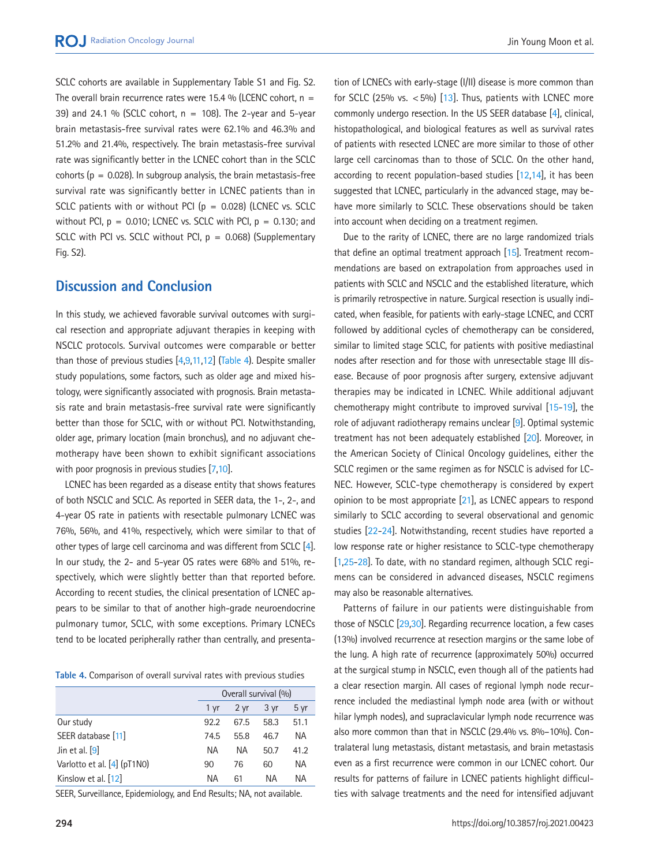SCLC cohorts are available in Supplementary Table S1 and Fig. S2. The overall brain recurrence rates were 15.4 % (LCENC cohort,  $n =$ 39) and 24.1 % (SCLC cohort,  $n = 108$ ). The 2-year and 5-year brain metastasis-free survival rates were 62.1% and 46.3% and 51.2% and 21.4%, respectively. The brain metastasis-free survival rate was significantly better in the LCNEC cohort than in the SCLC cohorts ( $p = 0.028$ ). In subgroup analysis, the brain metastasis-free survival rate was significantly better in LCNEC patients than in SCLC patients with or without PCI ( $p = 0.028$ ) (LCNEC vs. SCLC without PCI,  $p = 0.010$ ; LCNEC vs. SCLC with PCI,  $p = 0.130$ ; and SCLC with PCI vs. SCLC without PCI,  $p = 0.068$ ) (Supplementary Fig. S2).

## **Discussion and Conclusion**

In this study, we achieved favorable survival outcomes with surgical resection and appropriate adjuvant therapies in keeping with NSCLC protocols. Survival outcomes were comparable or better than those of previous studies [4,[9,11,12](#page-8-1)] [\(Table 4](#page-6-0)). Despite smaller study populations, some factors, such as older age and mixed histology, were significantly associated with prognosis. Brain metastasis rate and brain metastasis-free survival rate were significantly better than those for SCLC, with or without PCI. Notwithstanding, older age, primary location (main bronchus), and no adjuvant chemotherapy have been shown to exhibit significant associations with poor prognosis in previous studies [7,10].

LCNEC has been regarded as a disease entity that shows features of both NSCLC and SCLC. As reported in SEER data, the 1-, 2-, and 4-year OS rate in patients with resectable pulmonary LCNEC was 76%, 56%, and 41%, respectively, which were similar to that of other types of large cell carcinoma and was different from SCLC [4]. In our study, the 2- and 5-year OS rates were 68% and 51%, respectively, which were slightly better than that reported before. According to recent studies, the clinical presentation of LCNEC appears to be similar to that of another high-grade neuroendocrine pulmonary tumor, SCLC, with some exceptions. Primary LCNECs tend to be located peripherally rather than centrally, and presenta-

<span id="page-6-0"></span>**Table 4.** Comparison of overall survival rates with previous studies

|                             |      | Overall survival (%) |      |                 |
|-----------------------------|------|----------------------|------|-----------------|
|                             | 1 vr | 2 yr                 | 3 yr | 5 <sub>yr</sub> |
| Our study                   | 92.2 | 67.5                 | 58.3 | 51.1            |
| SEER database [11]          | 74.5 | 55.8                 | 46.7 | NА              |
| Jin et al. $[9]$            | ΝA   | ΝA                   | 50.7 | 41.2            |
| Varlotto et al. [4] (pT1N0) | 90   | 76                   | 60   | NА              |
| Kinslow et al. [12]         | ΝA   | 61                   | ΝA   | ΝA              |

SEER, Surveillance, Epidemiology, and End Results; NA, not available.

tion of LCNECs with early-stage (I/II) disease is more common than for SCLC (25% vs.  $<$  5%) [\[13](#page-8-2)]. Thus, patients with LCNEC more commonly undergo resection. In the US SEER database [4], clinical, histopathological, and biological features as well as survival rates of patients with resected LCNEC are more similar to those of other large cell carcinomas than to those of SCLC. On the other hand, according to recent population-based studies [\[12](#page-8-1)[,14](#page-8-3)], it has been suggested that LCNEC, particularly in the advanced stage, may behave more similarly to SCLC. These observations should be taken into account when deciding on a treatment regimen.

Due to the rarity of LCNEC, there are no large randomized trials that define an optimal treatment approach [\[15](#page-8-4)]. Treatment recommendations are based on extrapolation from approaches used in patients with SCLC and NSCLC and the established literature, which is primarily retrospective in nature. Surgical resection is usually indicated, when feasible, for patients with early-stage LCNEC, and CCRT followed by additional cycles of chemotherapy can be considered, similar to limited stage SCLC, for patients with positive mediastinal nodes after resection and for those with unresectable stage III disease. Because of poor prognosis after surgery, extensive adjuvant therapies may be indicated in LCNEC. While additional adjuvant chemotherapy might contribute to improved survival [\[15](#page-8-4)[-19\]](#page-8-5), the role of adjuvant radiotherapy remains unclear [9]. Optimal systemic treatment has not been adequately established [\[20\]](#page-8-6). Moreover, in the American Society of Clinical Oncology guidelines, either the SCLC regimen or the same regimen as for NSCLC is advised for LC-NEC. However, SCLC-type chemotherapy is considered by expert opinion to be most appropriate [\[21](#page-8-7)], as LCNEC appears to respond similarly to SCLC according to several observational and genomic studies [\[22](#page-8-8)[-24](#page-8-9)]. Notwithstanding, recent studies have reported a low response rate or higher resistance to SCLC-type chemotherapy [1[,25](#page-8-10)[-28\]](#page-8-11). To date, with no standard regimen, although SCLC regimens can be considered in advanced diseases, NSCLC regimens may also be reasonable alternatives.

Patterns of failure in our patients were distinguishable from those of NSCLC [\[29](#page-8-12)[,30\]](#page-8-13). Regarding recurrence location, a few cases (13%) involved recurrence at resection margins or the same lobe of the lung. A high rate of recurrence (approximately 50%) occurred at the surgical stump in NSCLC, even though all of the patients had a clear resection margin. All cases of regional lymph node recurrence included the mediastinal lymph node area (with or without hilar lymph nodes), and supraclavicular lymph node recurrence was also more common than that in NSCLC (29.4% vs. 8%–10%). Contralateral lung metastasis, distant metastasis, and brain metastasis even as a first recurrence were common in our LCNEC cohort. Our results for patterns of failure in LCNEC patients highlight difficulties with salvage treatments and the need for intensified adjuvant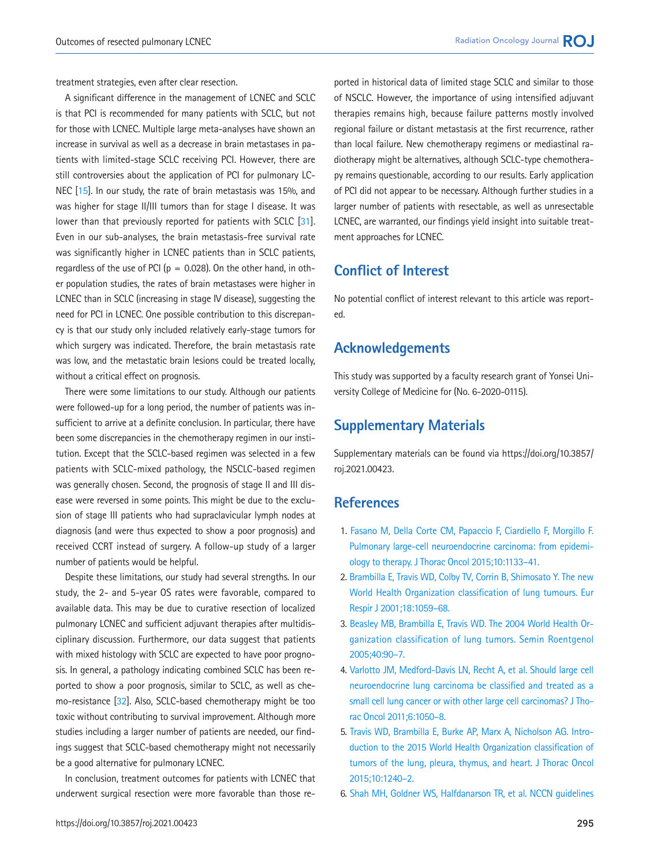treatment strategies, even after clear resection.

A significant difference in the management of LCNEC and SCLC is that PCI is recommended for many patients with SCLC, but not for those with LCNEC. Multiple large meta-analyses have shown an increase in survival as well as a decrease in brain metastases in patients with limited-stage SCLC receiving PCI. However, there are still controversies about the application of PCI for pulmonary LC-NEC [15]. In our study, the rate of brain metastasis was 15%, and was higher for stage II/III tumors than for stage I disease. It was lower than that previously reported for patients with SCLC [\[31](#page-8-16)]. Even in our sub-analyses, the brain metastasis-free survival rate was significantly higher in LCNEC patients than in SCLC patients, regardless of the use of PCI ( $p = 0.028$ ). On the other hand, in other population studies, the rates of brain metastases were higher in LCNEC than in SCLC (increasing in stage IV disease), suggesting the need for PCI in LCNEC. One possible contribution to this discrepancy is that our study only included relatively early-stage tumors for which surgery was indicated. Therefore, the brain metastasis rate was low, and the metastatic brain lesions could be treated locally, without a critical effect on prognosis.

There were some limitations to our study. Although our patients were followed-up for a long period, the number of patients was insufficient to arrive at a definite conclusion. In particular, there have been some discrepancies in the chemotherapy regimen in our institution. Except that the SCLC-based regimen was selected in a few patients with SCLC-mixed pathology, the NSCLC-based regimen was generally chosen. Second, the prognosis of stage II and III disease were reversed in some points. This might be due to the exclusion of stage III patients who had supraclavicular lymph nodes at diagnosis (and were thus expected to show a poor prognosis) and received CCRT instead of surgery. A follow-up study of a larger number of patients would be helpful.

Despite these limitations, our study had several strengths. In our study, the 2- and 5-year OS rates were favorable, compared to available data. This may be due to curative resection of localized pulmonary LCNEC and sufficient adjuvant therapies after multidisciplinary discussion. Furthermore, our data suggest that patients with mixed histology with SCLC are expected to have poor prognosis. In general, a pathology indicating combined SCLC has been reported to show a poor prognosis, similar to SCLC, as well as chemo-resistance [\[32\]](#page-8-17). Also, SCLC-based chemotherapy might be too toxic without contributing to survival improvement. Although more studies including a larger number of patients are needed, our findings suggest that SCLC-based chemotherapy might not necessarily be a good alternative for pulmonary LCNEC.

In conclusion, treatment outcomes for patients with LCNEC that underwent surgical resection were more favorable than those reported in historical data of limited stage SCLC and similar to those of NSCLC. However, the importance of using intensified adjuvant therapies remains high, because failure patterns mostly involved regional failure or distant metastasis at the first recurrence, rather than local failure. New chemotherapy regimens or mediastinal radiotherapy might be alternatives, although SCLC-type chemotherapy remains questionable, according to our results. Early application of PCI did not appear to be necessary. Although further studies in a larger number of patients with resectable, as well as unresectable LCNEC, are warranted, our findings yield insight into suitable treatment approaches for LCNEC.

# **Conflict of Interest**

No potential conflict of interest relevant to this article was reported.

## **Acknowledgements**

This study was supported by a faculty research grant of Yonsei University College of Medicine for (No. 6-2020-0115).

# **Supplementary Materials**

Supplementary materials can be found via https://doi.org/10.3857/ roj.2021.00423.

## <span id="page-7-2"></span>**References**

- <span id="page-7-0"></span>1. Fasano M, Della Corte CM, Papaccio F, Cia[rdiello F, Morgillo F.](https://doi.org/10.1097/jto.0000000000000589)  [Pulmonary large-cell neuroendocrine carcinoma: from epidemi](https://doi.org/10.1097/jto.0000000000000589)[ology to therapy. J Thorac Oncol 2015;10:1133](https://doi.org/10.1097/jto.0000000000000589)–41.
- <span id="page-7-1"></span>2. [Brambilla E, Travis WD, Colby TV, Corrin B, Shimosato Y. The new](https://doi.org/10.1183/09031936.01.00275301)  [World Health Organization classification of lung tumours. Eur](https://doi.org/10.1183/09031936.01.00275301)  [Respir J 2001;18:1059–](https://doi.org/10.1183/09031936.01.00275301)68.
- <span id="page-7-5"></span>3. [Beasley MB, Brambilla E, Travis WD. The 2004 World Health Or](https://doi.org/10.1053/j.ro.2005.01.001)[ganization classification of lung tumors. Semin Roentgenol](https://doi.org/10.1053/j.ro.2005.01.001) [2005;40:90](https://doi.org/10.1053/j.ro.2005.01.001)–7.
- <span id="page-7-6"></span>4. [Varlotto JM, Medford-Davis LN, Recht A, et al. Should large cell](https://doi.org/10.1097/jto.0b013e318217b6f8)  [neuroendocrine lung carcinoma be classified and treated as a](https://doi.org/10.1097/jto.0b013e318217b6f8)  [small cell lung cancer or with other large cell carcinomas? J Tho](https://doi.org/10.1097/jto.0b013e318217b6f8)[rac Oncol 2011;6:1050–](https://doi.org/10.1097/jto.0b013e318217b6f8)8.
- <span id="page-7-3"></span>5. [Travis WD, Brambilla E, Burke AP, Marx A, Nicholson AG. Intro](https://doi.org/10.1097/jto.0000000000000663)[duction to the 2015 World Health Organization classification of](https://doi.org/10.1097/jto.0000000000000663)  [tumors of the lung, pleura, thymus, and heart. J Thorac Oncol](https://doi.org/10.1097/jto.0000000000000663) [2015;10:124](https://doi.org/10.1097/jto.0000000000000663)0–2.
- <span id="page-7-4"></span>6. Shah MH, Goldner WS, Halfdanarson TR, et al. NCCN guidelines